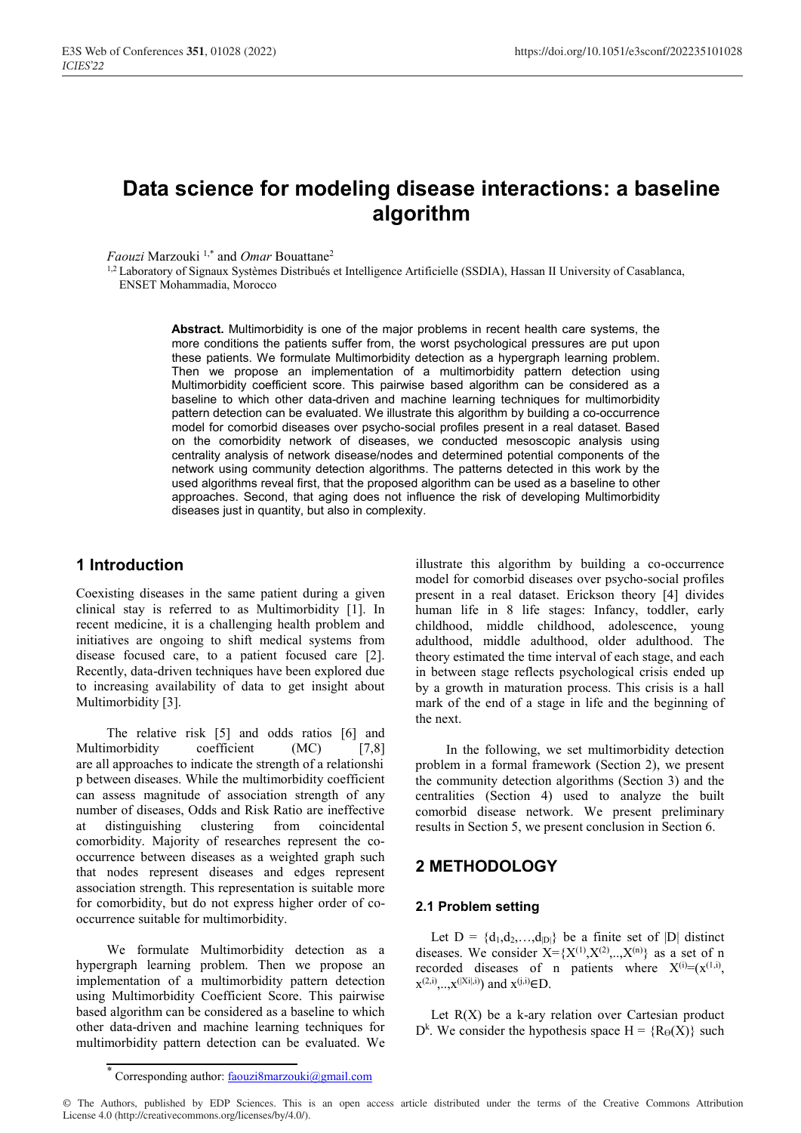# **Data science for modeling disease interactions: a baseline algorithm**

*Faouzi* Marzouki 1,\* and *Omar* Bouattane2

<sup>1,2</sup> Laboratory of Signaux Systèmes Distribués et Intelligence Artificielle (SSDIA), Hassan II University of Casablanca, ENSET Mohammadia, Morocco

> **Abstract.** Multimorbidity is one of the major problems in recent health care systems, the more conditions the patients suffer from, the worst psychological pressures are put upon these patients. We formulate Multimorbidity detection as a hypergraph learning problem. Then we propose an implementation of a multimorbidity pattern detection using Multimorbidity coefficient score. This pairwise based algorithm can be considered as a baseline to which other data-driven and machine learning techniques for multimorbidity pattern detection can be evaluated. We illustrate this algorithm by building a co-occurrence model for comorbid diseases over psycho-social profiles present in a real dataset. Based on the comorbidity network of diseases, we conducted mesoscopic analysis using centrality analysis of network disease/nodes and determined potential components of the network using community detection algorithms. The patterns detected in this work by the used algorithms reveal first, that the proposed algorithm can be used as a baseline to other approaches. Second, that aging does not influence the risk of developing Multimorbidity diseases just in quantity, but also in complexity.

### **1 Introduction**

Coexisting diseases in the same patient during a given clinical stay is referred to as Multimorbidity [1]. In recent medicine, it is a challenging health problem and initiatives are ongoing to shift medical systems from disease focused care, to a patient focused care [2]. Recently, data-driven techniques have been explored due to increasing availability of data to get insight about Multimorbidity [3].

The relative risk [5] and odds ratios [6] and Multimorbidity coefficient (MC) [7,8] are all approaches to indicate the strength of a relationshi p between diseases. While the multimorbidity coefficient can assess magnitude of association strength of any number of diseases, Odds and Risk Ratio are ineffective at distinguishing clustering from coincidental comorbidity. Majority of researches represent the cooccurrence between diseases as a weighted graph such that nodes represent diseases and edges represent association strength. This representation is suitable more for comorbidity, but do not express higher order of cooccurrence suitable for multimorbidity.

We formulate Multimorbidity detection as a hypergraph learning problem. Then we propose an implementation of a multimorbidity pattern detection using Multimorbidity Coefficient Score. This pairwise based algorithm can be considered as a baseline to which other data-driven and machine learning techniques for multimorbidity pattern detection can be evaluated. We

illustrate this algorithm by building a co-occurrence model for comorbid diseases over psycho-social profiles present in a real dataset. Erickson theory [4] divides human life in 8 life stages: Infancy, toddler, early childhood, middle childhood, adolescence, young adulthood, middle adulthood, older adulthood. The theory estimated the time interval of each stage, and each in between stage reflects psychological crisis ended up by a growth in maturation process. This crisis is a hall mark of the end of a stage in life and the beginning of the next.

In the following, we set multimorbidity detection problem in a formal framework (Section 2), we present the community detection algorithms (Section 3) and the centralities (Section 4) used to analyze the built comorbid disease network. We present preliminary results in Section 5, we present conclusion in Section 6.

# **2 METHODOLOGY**

#### **2.1 Problem setting**

Let  $D = \{d_1, d_2, \ldots, d_{|D|}\}\$  be a finite set of  $|D|$  distinct diseases. We consider  $X = \{X^{(1)}, X^{(2)}, \ldots, X^{(n)}\}$  as a set of n recorded diseases of n patients where  $X^{(i)} = (X^{(1,i)},$  $x^{(2,i)},...,x^{(|Xi|,i)})$  and  $x^{(j,i)}\in D$ .

Let  $R(X)$  be a k-ary relation over Cartesian product  $D^k$ . We consider the hypothesis space  $H = \{R_\Theta(X)\}\$  such

© The Authors, published by EDP Sciences. This is an open access article distributed under the terms of the Creative Commons Attribution License 4.0 (http://creativecommons.org/licenses/by/4.0/).

<sup>\*</sup> Corresponding author: faouzi8marzouki@gmail.com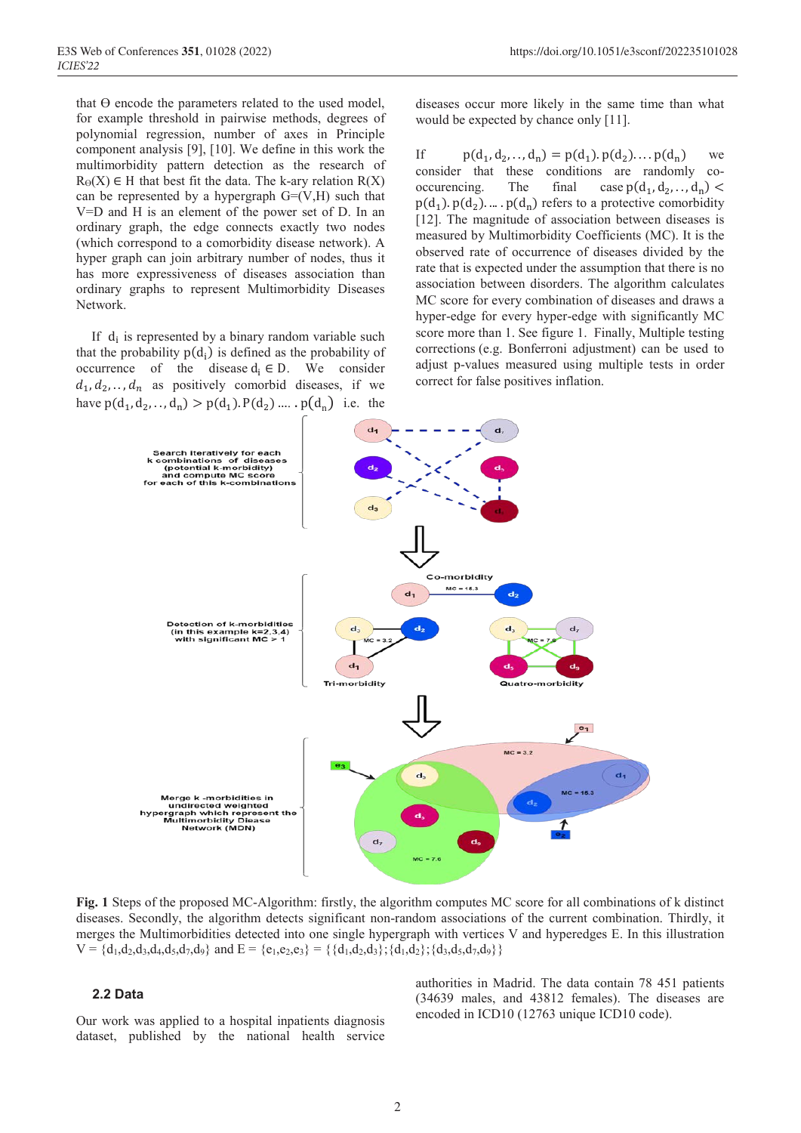that  $\Theta$  encode the parameters related to the used model, for example threshold in pairwise methods, degrees of polynomial regression, number of axes in Principle component analysis [9], [10]. We define in this work the multimorbidity pattern detection as the research of  $R_{\Theta}(X) \in H$  that best fit the data. The k-ary relation  $R(X)$ can be represented by a hypergraph  $G=(V,H)$  such that V=D and H is an element of the power set of D. In an ordinary graph, the edge connects exactly two nodes (which correspond to a comorbidity disease network). A hyper graph can join arbitrary number of nodes, thus it has more expressiveness of diseases association than ordinary graphs to represent Multimorbidity Diseases Network.

If  $d_i$  is represented by a binary random variable such that the probability  $p(d_i)$  is defined as the probability of occurrence of the disease  $d_i \in D$ . We consider  $d_1, d_2, \ldots, d_n$  as positively comorbid diseases, if we have  $p(d_1, d_2, \ldots, d_n) > p(d_1) \cdot P(d_2) \ldots \cdot p(d_n)$  i.e. the

diseases occur more likely in the same time than what would be expected by chance only [11].

If  $p(d_1, d_2, ..., d_n) = p(d_1) \cdot p(d_2) \dots p(d_n)$  we consider that these conditions are randomly cooccurencing. The final case  $p(d_1, d_2, \ldots, d_n)$  <  $p(d_1)$ .  $p(d_2)$ . ... .  $p(d_n)$  refers to a protective comorbidity [12]. The magnitude of association between diseases is measured by Multimorbidity Coefficients (MC). It is the observed rate of occurrence of diseases divided by the rate that is expected under the assumption that there is no association between disorders. The algorithm calculates MC score for every combination of diseases and draws a hyper-edge for every hyper-edge with significantly MC score more than 1. See figure 1. Finally, Multiple testing corrections (e.g. Bonferroni adjustment) can be used to adjust p-values measured using multiple tests in order correct for false positives inflation.



**Fig. 1** Steps of the proposed MC-Algorithm: firstly, the algorithm computes MC score for all combinations of k distinct diseases. Secondly, the algorithm detects significant non-random associations of the current combination. Thirdly, it merges the Multimorbidities detected into one single hypergraph with vertices V and hyperedges E. In this illustration  $V = \{d_1, d_2, d_3, d_4, d_5, d_7, d_9\}$  and  $E = \{e_1, e_2, e_3\} = \{\{d_1, d_2, d_3\}; \{d_1, d_2\}; \{d_3, d_5, d_7, d_9\}\}\$ 

#### **2.2 Data**

Our work was applied to a hospital inpatients diagnosis dataset, published by the national health service

authorities in Madrid. The data contain 78 451 patients (34639 males, and 43812 females). The diseases are encoded in ICD10 (12763 unique ICD10 code).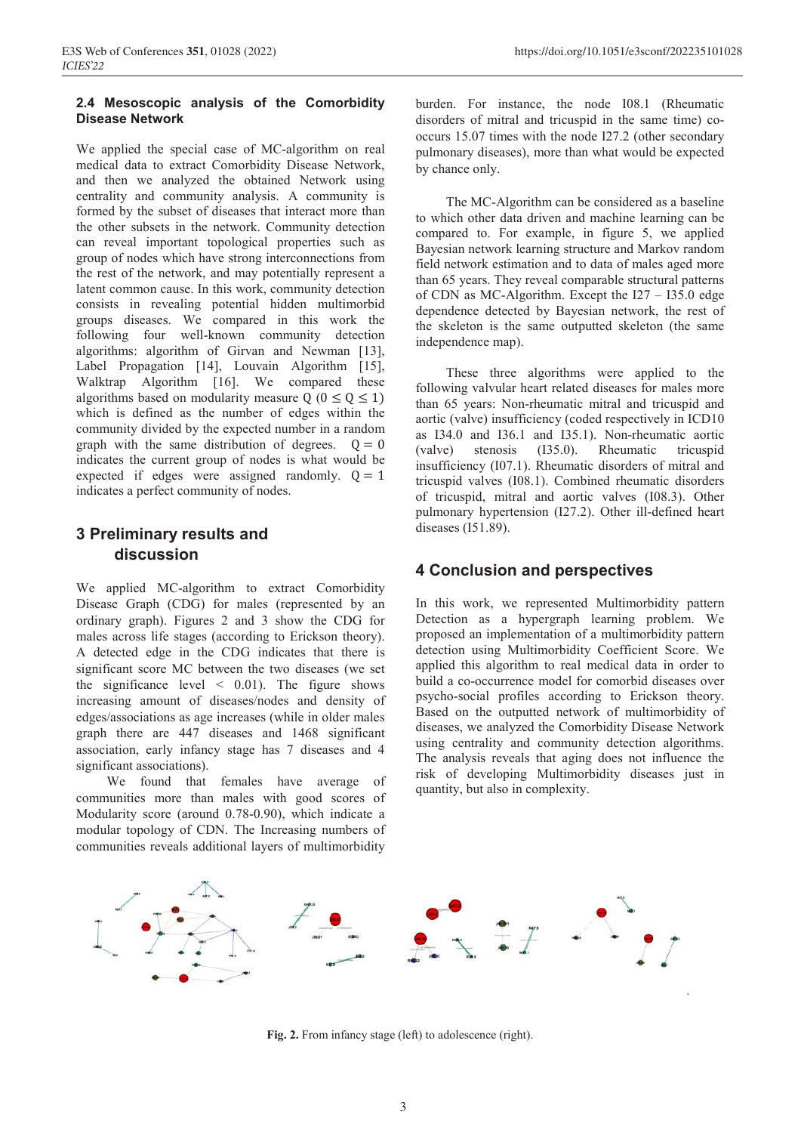#### **2.4 Mesoscopic analysis of the Comorbidity Disease Network**

We applied the special case of MC-algorithm on real medical data to extract Comorbidity Disease Network, and then we analyzed the obtained Network using centrality and community analysis. A community is formed by the subset of diseases that interact more than the other subsets in the network. Community detection can reveal important topological properties such as group of nodes which have strong interconnections from the rest of the network, and may potentially represent a latent common cause. In this work, community detection consists in revealing potential hidden multimorbid groups diseases. We compared in this work the following four well-known community detection algorithms: algorithm of Girvan and Newman [13], Label Propagation [14], Louvain Algorithm [15], Walktrap Algorithm [16]. We compared these algorithms based on modularity measure  $Q$  ( $0 \le Q \le 1$ ) which is defined as the number of edges within the community divided by the expected number in a random graph with the same distribution of degrees.  $Q = 0$ indicates the current group of nodes is what would be expected if edges were assigned randomly.  $Q = 1$ indicates a perfect community of nodes.

# **3 Preliminary results and discussion**

We applied MC-algorithm to extract Comorbidity Disease Graph (CDG) for males (represented by an ordinary graph). Figures 2 and 3 show the CDG for males across life stages (according to Erickson theory). A detected edge in the CDG indicates that there is significant score MC between the two diseases (we set the significance level  $\leq$  0.01). The figure shows increasing amount of diseases/nodes and density of edges/associations as age increases (while in older males graph there are 447 diseases and 1468 significant association, early infancy stage has 7 diseases and 4 significant associations).

We found that females have average of communities more than males with good scores of Modularity score (around 0.78-0.90), which indicate a modular topology of CDN. The Increasing numbers of communities reveals additional layers of multimorbidity

burden. For instance, the node I08.1 (Rheumatic disorders of mitral and tricuspid in the same time) cooccurs 15.07 times with the node I27.2 (other secondary pulmonary diseases), more than what would be expected by chance only.

The MC-Algorithm can be considered as a baseline to which other data driven and machine learning can be compared to. For example, in figure 5, we applied Bayesian network learning structure and Markov random field network estimation and to data of males aged more than 65 years. They reveal comparable structural patterns of CDN as MC-Algorithm. Except the I27 – I35.0 edge dependence detected by Bayesian network, the rest of the skeleton is the same outputted skeleton (the same independence map).

These three algorithms were applied to the following valvular heart related diseases for males more than 65 years: Non-rheumatic mitral and tricuspid and aortic (valve) insufficiency (coded respectively in ICD10 as I34.0 and I36.1 and I35.1). Non-rheumatic aortic (valve) stenosis (I35.0). Rheumatic tricuspid insufficiency (I07.1). Rheumatic disorders of mitral and tricuspid valves (I08.1). Combined rheumatic disorders of tricuspid, mitral and aortic valves (I08.3). Other pulmonary hypertension (I27.2). Other ill-defined heart diseases (I51.89).

# **4 Conclusion and perspectives**

In this work, we represented Multimorbidity pattern Detection as a hypergraph learning problem. We proposed an implementation of a multimorbidity pattern detection using Multimorbidity Coefficient Score. We applied this algorithm to real medical data in order to build a co-occurrence model for comorbid diseases over psycho-social profiles according to Erickson theory. Based on the outputted network of multimorbidity of diseases, we analyzed the Comorbidity Disease Network using centrality and community detection algorithms. The analysis reveals that aging does not influence the risk of developing Multimorbidity diseases just in quantity, but also in complexity.



**Fig. 2.** From infancy stage (left) to adolescence (right).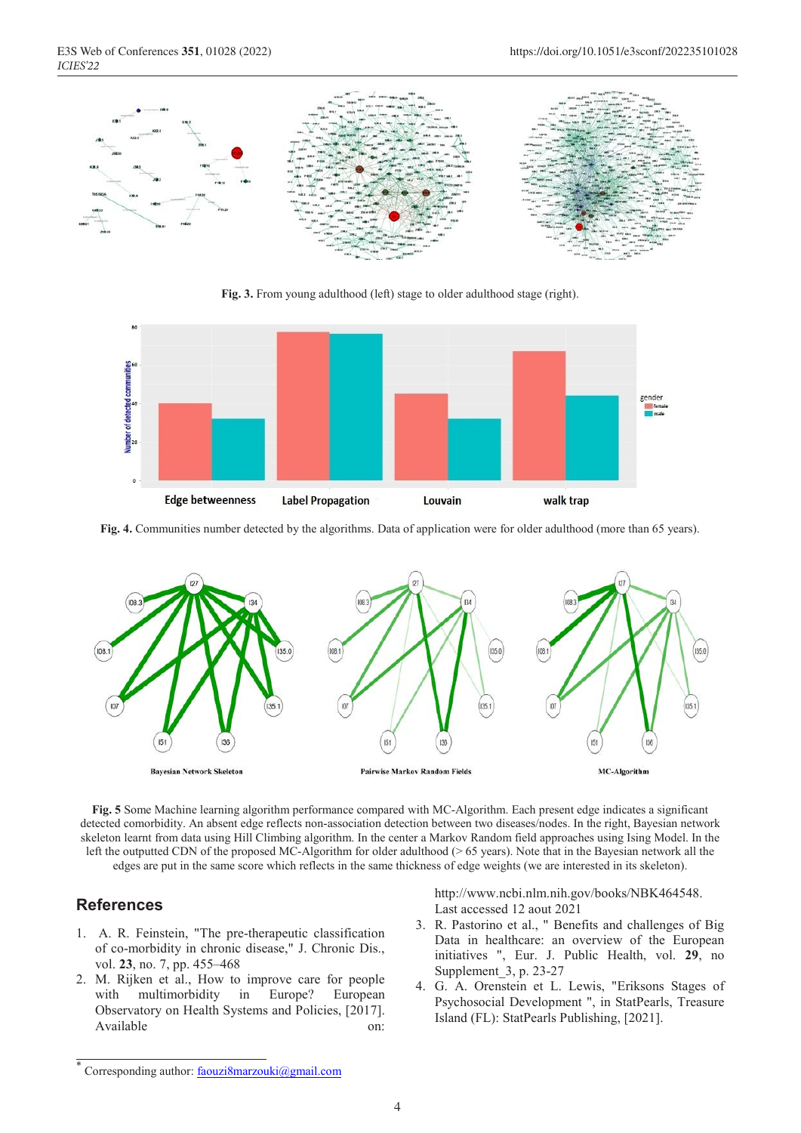

**Fig. 3.** From young adulthood (left) stage to older adulthood stage (right).



**Fig. 4.** Communities number detected by the algorithms. Data of application were for older adulthood (more than 65 years).



**Fig. 5** Some Machine learning algorithm performance compared with MC-Algorithm. Each present edge indicates a significant detected comorbidity. An absent edge reflects non-association detection between two diseases/nodes. In the right, Bayesian network skeleton learnt from data using Hill Climbing algorithm. In the center a Markov Random field approaches using Ising Model. In the left the outputted CDN of the proposed MC-Algorithm for older adulthood (> 65 years). Note that in the Bayesian network all the edges are put in the same score which reflects in the same thickness of edge weights (we are interested in its skeleton).

#### **References**

- 1. A. R. Feinstein, "The pre-therapeutic classification of co-morbidity in chronic disease," J. Chronic Dis., vol. **23**, no. 7, pp. 455–468
- 2. M. Rijken et al., How to improve care for people with multimorbidity in Europe? European Observatory on Health Systems and Policies, [2017]. Available on:

http://www.ncbi.nlm.nih.gov/books/NBK464548. Last accessed 12 aout 2021

- 3. R. Pastorino et al., " Benefits and challenges of Big Data in healthcare: an overview of the European initiatives ", Eur. J. Public Health, vol. **29**, no Supplement\_3, p. 23‑27
- 4. G. A. Orenstein et L. Lewis, "Eriksons Stages of Psychosocial Development ", in StatPearls, Treasure Island (FL): StatPearls Publishing, [2021].

Corresponding author: faouzi8marzouki@gmail.com